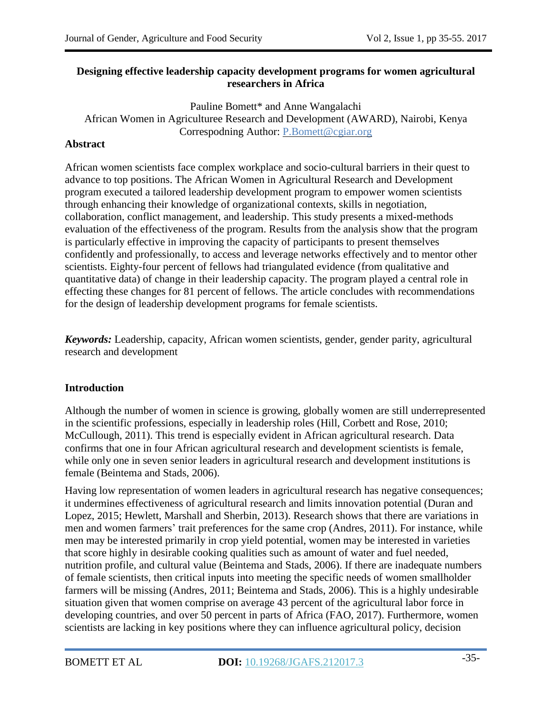### **Designing effective leadership capacity development programs for women agricultural researchers in Africa**

Pauline Bomett\* and Anne Wangalachi African Women in Agriculturee Research and Development (AWARD), Nairobi, Kenya Correspodning Author: [P.Bomett@cgiar.org](mailto:P.Bomett@cgiar.org)

### **Abstract**

African women scientists face complex workplace and socio-cultural barriers in their quest to advance to top positions. The African Women in Agricultural Research and Development program executed a tailored leadership development program to empower women scientists through enhancing their knowledge of organizational contexts, skills in negotiation, collaboration, conflict management, and leadership. This study presents a mixed-methods evaluation of the effectiveness of the program. Results from the analysis show that the program is particularly effective in improving the capacity of participants to present themselves confidently and professionally, to access and leverage networks effectively and to mentor other scientists. Eighty-four percent of fellows had triangulated evidence (from qualitative and quantitative data) of change in their leadership capacity. The program played a central role in effecting these changes for 81 percent of fellows. The article concludes with recommendations for the design of leadership development programs for female scientists.

*Keywords:* Leadership, capacity, African women scientists, gender, gender parity, agricultural research and development

#### **Introduction**

Although the number of women in science is growing, globally women are still underrepresented in the scientific professions, especially in leadership roles (Hill, Corbett and Rose, 2010; McCullough, 2011). This trend is especially evident in African agricultural research. Data confirms that one in four African agricultural research and development scientists is female, while only one in seven senior leaders in agricultural research and development institutions is female (Beintema and Stads, 2006).

Having low representation of women leaders in agricultural research has negative consequences; it undermines effectiveness of agricultural research and limits innovation potential (Duran and Lopez, 2015; Hewlett, Marshall and Sherbin, 2013). Research shows that there are variations in men and women farmers' trait preferences for the same crop (Andres, 2011). For instance, while men may be interested primarily in crop yield potential, women may be interested in varieties that score highly in desirable cooking qualities such as amount of water and fuel needed, nutrition profile, and cultural value (Beintema and Stads, 2006). If there are inadequate numbers of female scientists, then critical inputs into meeting the specific needs of women smallholder farmers will be missing (Andres, 2011; Beintema and Stads, 2006). This is a highly undesirable situation given that women comprise on average 43 percent of the agricultural labor force in developing countries, and over 50 percent in parts of Africa (FAO, 2017). Furthermore, women scientists are lacking in key positions where they can influence agricultural policy, decision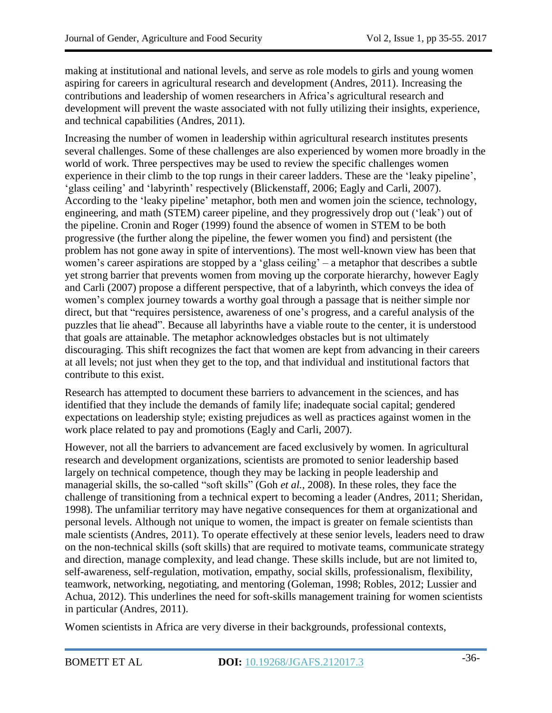making at institutional and national levels, and serve as role models to girls and young women aspiring for careers in agricultural research and development (Andres, 2011). Increasing the contributions and leadership of women researchers in Africa's agricultural research and development will prevent the waste associated with not fully utilizing their insights, experience, and technical capabilities (Andres, 2011).

Increasing the number of women in leadership within agricultural research institutes presents several challenges. Some of these challenges are also experienced by women more broadly in the world of work. Three perspectives may be used to review the specific challenges women experience in their climb to the top rungs in their career ladders. These are the 'leaky pipeline', ‗glass ceiling' and ‗labyrinth' respectively (Blickenstaff, 2006; Eagly and Carli, 2007). According to the 'leaky pipeline' metaphor, both men and women join the science, technology, engineering, and math (STEM) career pipeline, and they progressively drop out ('leak') out of the pipeline. Cronin and Roger (1999) found the absence of women in STEM to be both progressive (the further along the pipeline, the fewer women you find) and persistent (the problem has not gone away in spite of interventions). The most well-known view has been that women's career aspirations are stopped by a 'glass ceiling'  $-$  a metaphor that describes a subtle yet strong barrier that prevents women from moving up the corporate hierarchy, however Eagly and Carli (2007) propose a different perspective, that of a labyrinth, which conveys the idea of women's complex journey towards a worthy goal through a passage that is neither simple nor direct, but that "requires persistence, awareness of one's progress, and a careful analysis of the puzzles that lie ahead". Because all labyrinths have a viable route to the center, it is understood that goals are attainable. The metaphor acknowledges obstacles but is not ultimately discouraging. This shift recognizes the fact that women are kept from advancing in their careers at all levels; not just when they get to the top, and that individual and institutional factors that contribute to this exist.

Research has attempted to document these barriers to advancement in the sciences, and has identified that they include the demands of family life; inadequate social capital; gendered expectations on leadership style; existing prejudices as well as practices against women in the work place related to pay and promotions (Eagly and Carli, 2007).

However, not all the barriers to advancement are faced exclusively by women. In agricultural research and development organizations, scientists are promoted to senior leadership based largely on technical competence, though they may be lacking in people leadership and managerial skills, the so-called "soft skills" (Goh *et al.*, 2008). In these roles, they face the challenge of transitioning from a technical expert to becoming a leader (Andres, 2011; Sheridan, 1998). The unfamiliar territory may have negative consequences for them at organizational and personal levels. Although not unique to women, the impact is greater on female scientists than male scientists (Andres, 2011). To operate effectively at these senior levels, leaders need to draw on the non-technical skills (soft skills) that are required to motivate teams, communicate strategy and direction, manage complexity, and lead change. These skills include, but are not limited to, self-awareness, self-regulation, motivation, empathy, social skills, professionalism, flexibility, teamwork, networking, negotiating, and mentoring (Goleman, 1998; Robles, 2012; Lussier and Achua, 2012). This underlines the need for soft-skills management training for women scientists in particular (Andres, 2011).

Women scientists in Africa are very diverse in their backgrounds, professional contexts,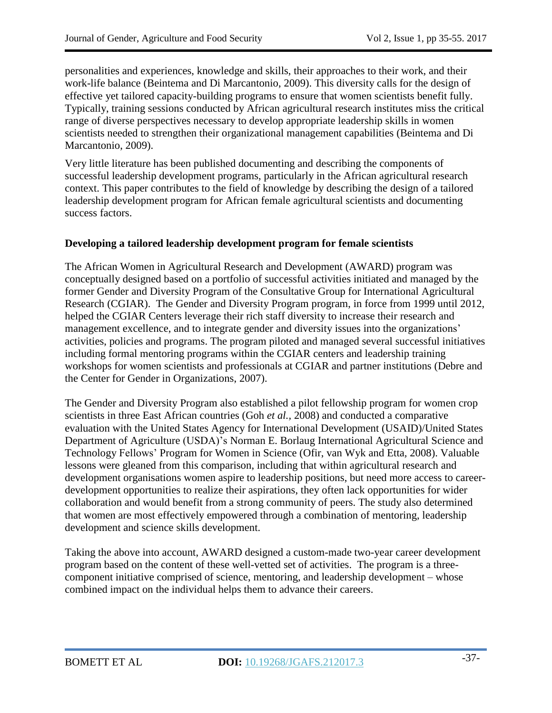personalities and experiences, knowledge and skills, their approaches to their work, and their work-life balance (Beintema and Di Marcantonio, 2009). This diversity calls for the design of effective yet tailored capacity-building programs to ensure that women scientists benefit fully. Typically, training sessions conducted by African agricultural research institutes miss the critical range of diverse perspectives necessary to develop appropriate leadership skills in women scientists needed to strengthen their organizational management capabilities (Beintema and Di Marcantonio, 2009).

Very little literature has been published documenting and describing the components of successful leadership development programs, particularly in the African agricultural research context. This paper contributes to the field of knowledge by describing the design of a tailored leadership development program for African female agricultural scientists and documenting success factors.

### **Developing a tailored leadership development program for female scientists**

The African Women in Agricultural Research and Development (AWARD) program was conceptually designed based on a portfolio of successful activities initiated and managed by the former Gender and Diversity Program of the Consultative Group for International Agricultural Research (CGIAR). The Gender and Diversity Program program, in force from 1999 until 2012, helped the CGIAR Centers leverage their rich staff diversity to increase their research and management excellence, and to integrate gender and diversity issues into the organizations' activities, policies and programs. The program piloted and managed several successful initiatives including formal mentoring programs within the CGIAR centers and leadership training workshops for women scientists and professionals at CGIAR and partner institutions (Debre and the Center for Gender in Organizations, 2007).

The Gender and Diversity Program also established a pilot fellowship program for women crop scientists in three East African countries (Goh *et al.,* 2008) and conducted a comparative evaluation with the United States Agency for International Development (USAID)/United States Department of Agriculture (USDA)'s Norman E. Borlaug International Agricultural Science and Technology Fellows' Program for Women in Science (Ofir, van Wyk and Etta*,* 2008). Valuable lessons were gleaned from this comparison, including that within agricultural research and development organisations women aspire to leadership positions, but need more access to careerdevelopment opportunities to realize their aspirations, they often lack opportunities for wider collaboration and would benefit from a strong community of peers. The study also determined that women are most effectively empowered through a combination of mentoring, leadership development and science skills development.

Taking the above into account, AWARD designed a custom-made two-year career development program based on the content of these well-vetted set of activities. The program is a threecomponent initiative comprised of science, mentoring, and leadership development – whose combined impact on the individual helps them to advance their careers.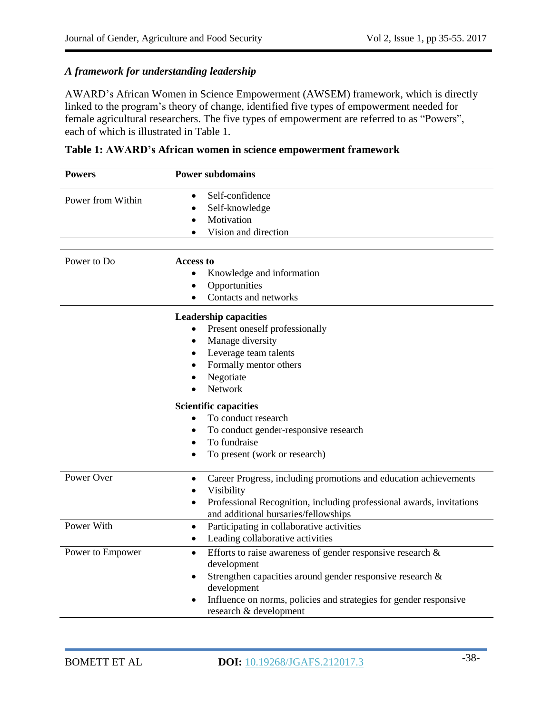# *A framework for understanding leadership*

AWARD's African Women in Science Empowerment (AWSEM) framework, which is directly linked to the program's theory of change, identified five types of empowerment needed for female agricultural researchers. The five types of empowerment are referred to as "Powers", each of which is illustrated in Table 1.

| <b>Powers</b>     | <b>Power subdomains</b>                                                                                                                                                                                                                                                           |
|-------------------|-----------------------------------------------------------------------------------------------------------------------------------------------------------------------------------------------------------------------------------------------------------------------------------|
| Power from Within | Self-confidence<br>$\bullet$<br>Self-knowledge<br>Motivation<br>Vision and direction                                                                                                                                                                                              |
| Power to Do       | <b>Access to</b><br>Knowledge and information<br>Opportunities<br>Contacts and networks                                                                                                                                                                                           |
|                   | <b>Leadership capacities</b><br>Present oneself professionally<br>Manage diversity<br>$\bullet$<br>Leverage team talents<br>Formally mentor others<br>$\bullet$<br>Negotiate<br>$\bullet$<br>Network                                                                              |
|                   | <b>Scientific capacities</b><br>To conduct research<br>To conduct gender-responsive research<br>٠<br>To fundraise<br>$\bullet$<br>To present (work or research)<br>$\bullet$                                                                                                      |
| Power Over        | Career Progress, including promotions and education achievements<br>$\bullet$<br>Visibility<br>$\bullet$<br>Professional Recognition, including professional awards, invitations<br>$\bullet$<br>and additional bursaries/fellowships                                             |
| Power With        | Participating in collaborative activities<br>$\bullet$<br>Leading collaborative activities<br>$\bullet$                                                                                                                                                                           |
| Power to Empower  | Efforts to raise awareness of gender responsive research $\&$<br>$\bullet$<br>development<br>Strengthen capacities around gender responsive research &<br>$\bullet$<br>development<br>Influence on norms, policies and strategies for gender responsive<br>research & development |

| Table 1: AWARD's African women in science empowerment framework |  |  |
|-----------------------------------------------------------------|--|--|
|-----------------------------------------------------------------|--|--|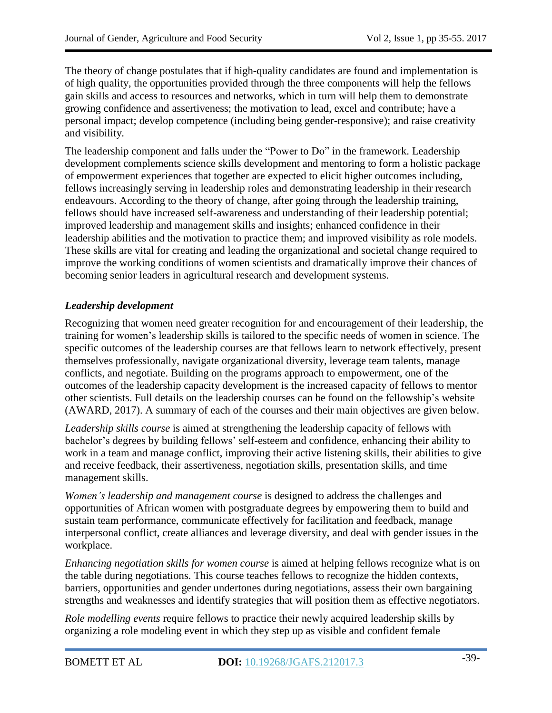The theory of change postulates that if high-quality candidates are found and implementation is of high quality, the opportunities provided through the three components will help the fellows gain skills and access to resources and networks, which in turn will help them to demonstrate growing confidence and assertiveness; the motivation to lead, excel and contribute; have a personal impact; develop competence (including being gender-responsive); and raise creativity and visibility.

The leadership component and falls under the "Power to Do" in the framework. Leadership development complements science skills development and mentoring to form a holistic package of empowerment experiences that together are expected to elicit higher outcomes including, fellows increasingly serving in leadership roles and demonstrating leadership in their research endeavours. According to the theory of change, after going through the leadership training, fellows should have increased self-awareness and understanding of their leadership potential; improved leadership and management skills and insights; enhanced confidence in their leadership abilities and the motivation to practice them; and improved visibility as role models. These skills are vital for creating and leading the organizational and societal change required to improve the working conditions of women scientists and dramatically improve their chances of becoming senior leaders in agricultural research and development systems.

# *Leadership development*

Recognizing that women need greater recognition for and encouragement of their leadership, the training for women's leadership skills is tailored to the specific needs of women in science. The specific outcomes of the leadership courses are that fellows learn to network effectively, present themselves professionally, navigate organizational diversity, leverage team talents, manage conflicts, and negotiate. Building on the programs approach to empowerment, one of the outcomes of the leadership capacity development is the increased capacity of fellows to mentor other scientists. Full details on the leadership courses can be found on the fellowship's website (AWARD, 2017). A summary of each of the courses and their main objectives are given below.

*Leadership skills course* is aimed at strengthening the leadership capacity of fellows with bachelor's degrees by building fellows' self-esteem and confidence, enhancing their ability to work in a team and manage conflict, improving their active listening skills, their abilities to give and receive feedback, their assertiveness, negotiation skills, presentation skills, and time management skills.

*Women's leadership and management course* is designed to address the challenges and opportunities of African women with postgraduate degrees by empowering them to build and sustain team performance, communicate effectively for facilitation and feedback, manage interpersonal conflict, create alliances and leverage diversity, and deal with gender issues in the workplace.

*Enhancing negotiation skills for women course* is aimed at helping fellows recognize what is on the table during negotiations. This course teaches fellows to recognize the hidden contexts, barriers, opportunities and gender undertones during negotiations, assess their own bargaining strengths and weaknesses and identify strategies that will position them as effective negotiators.

*Role modelling events* require fellows to practice their newly acquired leadership skills by organizing a role modeling event in which they step up as visible and confident female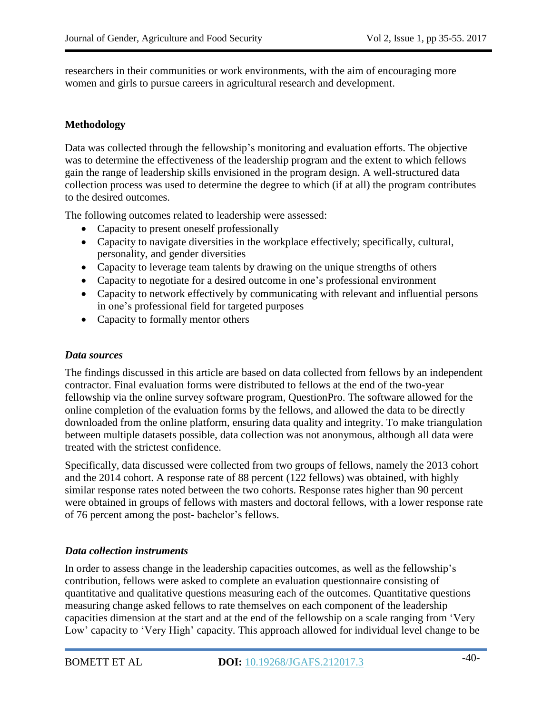researchers in their communities or work environments, with the aim of encouraging more women and girls to pursue careers in agricultural research and development.

### **Methodology**

Data was collected through the fellowship's monitoring and evaluation efforts. The objective was to determine the effectiveness of the leadership program and the extent to which fellows gain the range of leadership skills envisioned in the program design. A well-structured data collection process was used to determine the degree to which (if at all) the program contributes to the desired outcomes.

The following outcomes related to leadership were assessed:

- Capacity to present oneself professionally
- Capacity to navigate diversities in the workplace effectively; specifically, cultural, personality, and gender diversities
- Capacity to leverage team talents by drawing on the unique strengths of others
- Capacity to negotiate for a desired outcome in one's professional environment
- Capacity to network effectively by communicating with relevant and influential persons in one's professional field for targeted purposes
- Capacity to formally mentor others

#### *Data sources*

The findings discussed in this article are based on data collected from fellows by an independent contractor. Final evaluation forms were distributed to fellows at the end of the two-year fellowship via the online survey software program, QuestionPro. The software allowed for the online completion of the evaluation forms by the fellows, and allowed the data to be directly downloaded from the online platform, ensuring data quality and integrity. To make triangulation between multiple datasets possible, data collection was not anonymous, although all data were treated with the strictest confidence.

Specifically, data discussed were collected from two groups of fellows, namely the 2013 cohort and the 2014 cohort. A response rate of 88 percent (122 fellows) was obtained, with highly similar response rates noted between the two cohorts. Response rates higher than 90 percent were obtained in groups of fellows with masters and doctoral fellows, with a lower response rate of 76 percent among the post- bachelor's fellows.

#### *Data collection instruments*

In order to assess change in the leadership capacities outcomes, as well as the fellowship's contribution, fellows were asked to complete an evaluation questionnaire consisting of quantitative and qualitative questions measuring each of the outcomes. Quantitative questions measuring change asked fellows to rate themselves on each component of the leadership capacities dimension at the start and at the end of the fellowship on a scale ranging from 'Very Low' capacity to 'Very High' capacity. This approach allowed for individual level change to be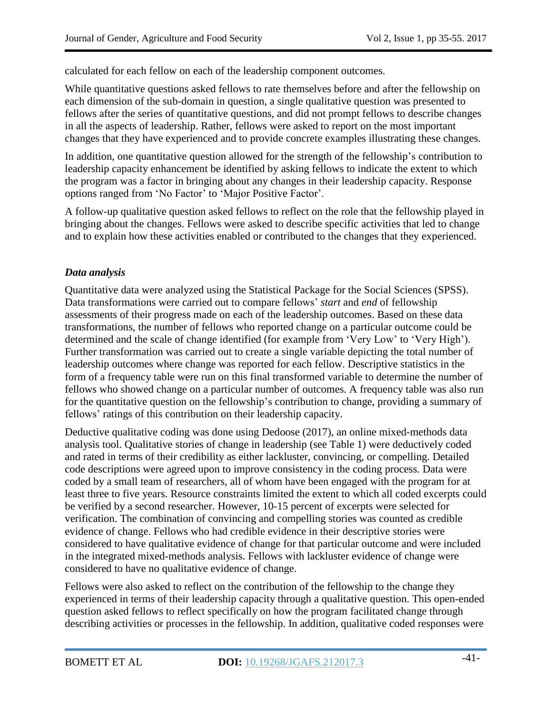calculated for each fellow on each of the leadership component outcomes.

While quantitative questions asked fellows to rate themselves before and after the fellowship on each dimension of the sub-domain in question, a single qualitative question was presented to fellows after the series of quantitative questions, and did not prompt fellows to describe changes in all the aspects of leadership. Rather, fellows were asked to report on the most important changes that they have experienced and to provide concrete examples illustrating these changes.

In addition, one quantitative question allowed for the strength of the fellowship's contribution to leadership capacity enhancement be identified by asking fellows to indicate the extent to which the program was a factor in bringing about any changes in their leadership capacity. Response options ranged from 'No Factor' to 'Major Positive Factor'.

A follow-up qualitative question asked fellows to reflect on the role that the fellowship played in bringing about the changes. Fellows were asked to describe specific activities that led to change and to explain how these activities enabled or contributed to the changes that they experienced.

### *Data analysis*

Quantitative data were analyzed using the Statistical Package for the Social Sciences (SPSS). Data transformations were carried out to compare fellows' *start* and *end* of fellowship assessments of their progress made on each of the leadership outcomes. Based on these data transformations, the number of fellows who reported change on a particular outcome could be determined and the scale of change identified (for example from 'Very Low' to 'Very High'). Further transformation was carried out to create a single variable depicting the total number of leadership outcomes where change was reported for each fellow. Descriptive statistics in the form of a frequency table were run on this final transformed variable to determine the number of fellows who showed change on a particular number of outcomes. A frequency table was also run for the quantitative question on the fellowship's contribution to change, providing a summary of fellows' ratings of this contribution on their leadership capacity.

Deductive qualitative coding was done using Dedoose (2017), an online mixed-methods data analysis tool. Qualitative stories of change in leadership (see Table 1) were deductively coded and rated in terms of their credibility as either lackluster, convincing, or compelling. Detailed code descriptions were agreed upon to improve consistency in the coding process. Data were coded by a small team of researchers, all of whom have been engaged with the program for at least three to five years. Resource constraints limited the extent to which all coded excerpts could be verified by a second researcher. However, 10-15 percent of excerpts were selected for verification. The combination of convincing and compelling stories was counted as credible evidence of change. Fellows who had credible evidence in their descriptive stories were considered to have qualitative evidence of change for that particular outcome and were included in the integrated mixed-methods analysis. Fellows with lackluster evidence of change were considered to have no qualitative evidence of change.

Fellows were also asked to reflect on the contribution of the fellowship to the change they experienced in terms of their leadership capacity through a qualitative question. This open-ended question asked fellows to reflect specifically on how the program facilitated change through describing activities or processes in the fellowship. In addition, qualitative coded responses were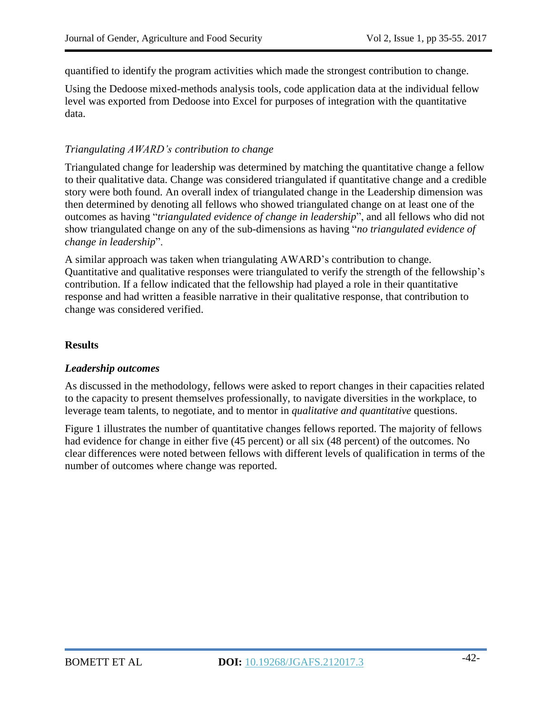quantified to identify the program activities which made the strongest contribution to change.

Using the Dedoose mixed-methods analysis tools, code application data at the individual fellow level was exported from Dedoose into Excel for purposes of integration with the quantitative data.

### *Triangulating AWARD's contribution to change*

Triangulated change for leadership was determined by matching the quantitative change a fellow to their qualitative data. Change was considered triangulated if quantitative change and a credible story were both found. An overall index of triangulated change in the Leadership dimension was then determined by denoting all fellows who showed triangulated change on at least one of the outcomes as having ―*triangulated evidence of change in leadership*‖, and all fellows who did not show triangulated change on any of the sub-dimensions as having ―*no triangulated evidence of change in leadership*‖.

A similar approach was taken when triangulating AWARD's contribution to change. Quantitative and qualitative responses were triangulated to verify the strength of the fellowship's contribution. If a fellow indicated that the fellowship had played a role in their quantitative response and had written a feasible narrative in their qualitative response, that contribution to change was considered verified.

### **Results**

### *Leadership outcomes*

As discussed in the methodology, fellows were asked to report changes in their capacities related to the capacity to present themselves professionally, to navigate diversities in the workplace, to leverage team talents, to negotiate, and to mentor in *qualitative and quantitative* questions.

Figure 1 illustrates the number of quantitative changes fellows reported. The majority of fellows had evidence for change in either five (45 percent) or all six (48 percent) of the outcomes. No clear differences were noted between fellows with different levels of qualification in terms of the number of outcomes where change was reported.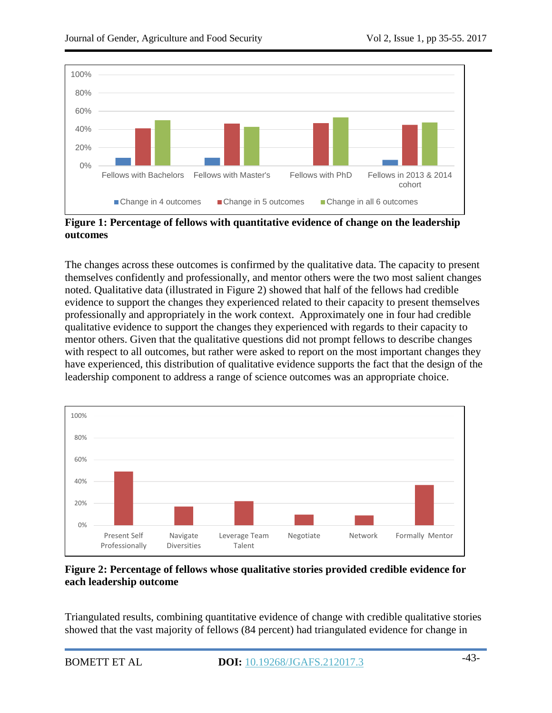

**Figure 1: Percentage of fellows with quantitative evidence of change on the leadership outcomes**

The changes across these outcomes is confirmed by the qualitative data. The capacity to present themselves confidently and professionally, and mentor others were the two most salient changes noted. Qualitative data (illustrated in Figure 2) showed that half of the fellows had credible evidence to support the changes they experienced related to their capacity to present themselves professionally and appropriately in the work context. Approximately one in four had credible qualitative evidence to support the changes they experienced with regards to their capacity to mentor others. Given that the qualitative questions did not prompt fellows to describe changes with respect to all outcomes, but rather were asked to report on the most important changes they have experienced, this distribution of qualitative evidence supports the fact that the design of the leadership component to address a range of science outcomes was an appropriate choice.



# **Figure 2: Percentage of fellows whose qualitative stories provided credible evidence for each leadership outcome**

Triangulated results, combining quantitative evidence of change with credible qualitative stories showed that the vast majority of fellows (84 percent) had triangulated evidence for change in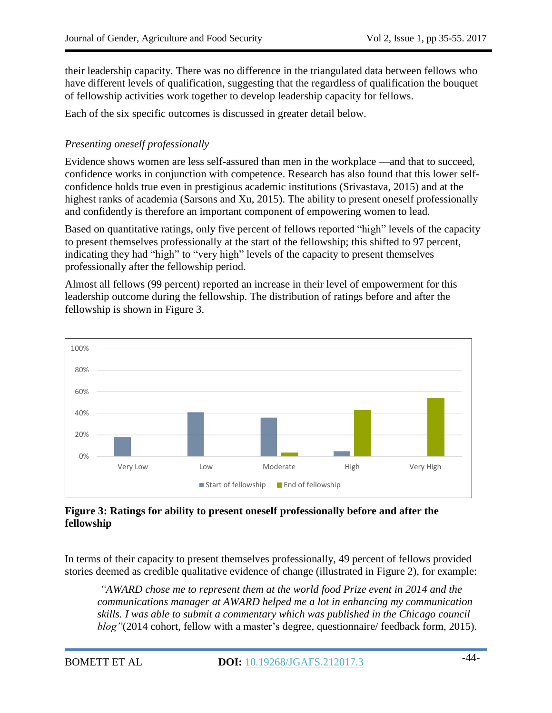their leadership capacity. There was no difference in the triangulated data between fellows who have different levels of qualification, suggesting that the regardless of qualification the bouquet of fellowship activities work together to develop leadership capacity for fellows.

Each of the six specific outcomes is discussed in greater detail below.

# *Presenting oneself professionally*

Evidence shows women are less self-assured than men in the workplace —and that to succeed, confidence works in conjunction with competence. Research has also found that this lower selfconfidence holds true even in prestigious academic institutions [\(Srivastava,](http://tech.mit.edu/author/Sanjana+Srivastava/) 2015) and at the highest ranks of academia (Sarsons and Xu, 2015). The ability to present oneself professionally and confidently is therefore an important component of empowering women to lead.

Based on quantitative ratings, only five percent of fellows reported "high" levels of the capacity to present themselves professionally at the start of the fellowship; this shifted to 97 percent, indicating they had "high" to "very high" levels of the capacity to present themselves professionally after the fellowship period.

Almost all fellows (99 percent) reported an increase in their level of empowerment for this leadership outcome during the fellowship. The distribution of ratings before and after the fellowship is shown in Figure 3.



# **Figure 3: Ratings for ability to present oneself professionally before and after the fellowship**

In terms of their capacity to present themselves professionally, 49 percent of fellows provided stories deemed as credible qualitative evidence of change (illustrated in Figure 2), for example:

*―AWARD chose me to represent them at the world food Prize event in 2014 and the communications manager at AWARD helped me a lot in enhancing my communication skills. I was able to submit a commentary which was published in the Chicago council blog* "(2014 cohort, fellow with a master's degree, questionnaire/ feedback form, 2015).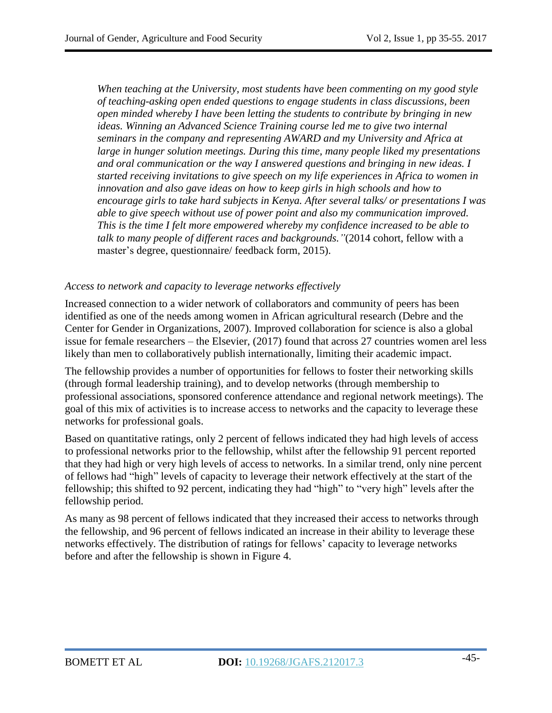*When teaching at the University, most students have been commenting on my good style of teaching-asking open ended questions to engage students in class discussions, been open minded whereby I have been letting the students to contribute by bringing in new ideas. Winning an Advanced Science Training course led me to give two internal seminars in the company and representing AWARD and my University and Africa at large in hunger solution meetings. During this time, many people liked my presentations and oral communication or the way I answered questions and bringing in new ideas. I started receiving invitations to give speech on my life experiences in Africa to women in innovation and also gave ideas on how to keep girls in high schools and how to encourage girls to take hard subjects in Kenya. After several talks/ or presentations I was able to give speech without use of power point and also my communication improved. This is the time I felt more empowered whereby my confidence increased to be able to talk to many people of different races and backgrounds.‖*(2014 cohort, fellow with a master's degree, questionnaire/ feedback form, 2015).

### *Access to network and capacity to leverage networks effectively*

Increased connection to a wider network of collaborators and community of peers has been identified as one of the needs among women in African agricultural research (Debre and the Center for Gender in Organizations, 2007). Improved collaboration for science is also a global issue for female researchers – the Elsevier, (2017) found that across 27 countries women arel less likely than men to collaboratively publish internationally, limiting their academic impact.

The fellowship provides a number of opportunities for fellows to foster their networking skills (through formal leadership training), and to develop networks (through membership to professional associations, sponsored conference attendance and regional network meetings). The goal of this mix of activities is to increase access to networks and the capacity to leverage these networks for professional goals.

Based on quantitative ratings, only 2 percent of fellows indicated they had high levels of access to professional networks prior to the fellowship, whilst after the fellowship 91 percent reported that they had high or very high levels of access to networks. In a similar trend, only nine percent of fellows had "high" levels of capacity to leverage their network effectively at the start of the fellowship; this shifted to 92 percent, indicating they had "high" to "very high" levels after the fellowship period.

As many as 98 percent of fellows indicated that they increased their access to networks through the fellowship, and 96 percent of fellows indicated an increase in their ability to leverage these networks effectively. The distribution of ratings for fellows' capacity to leverage networks before and after the fellowship is shown in Figure 4.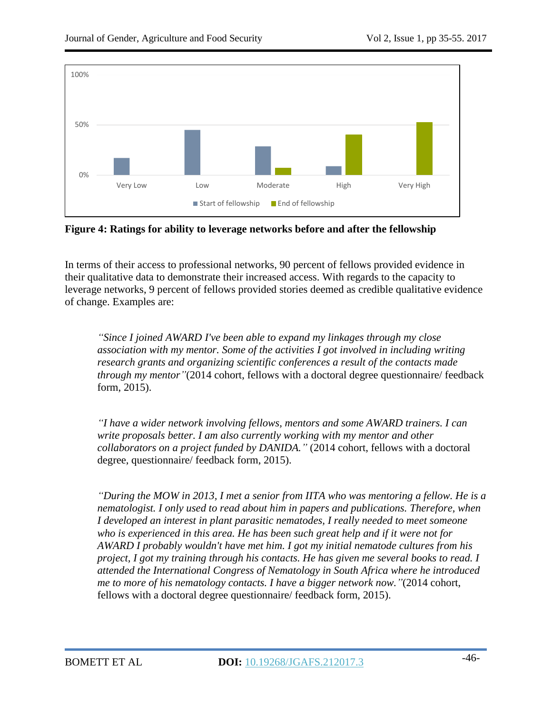

**Figure 4: Ratings for ability to leverage networks before and after the fellowship**

In terms of their access to professional networks, 90 percent of fellows provided evidence in their qualitative data to demonstrate their increased access. With regards to the capacity to leverage networks, 9 percent of fellows provided stories deemed as credible qualitative evidence of change. Examples are:

*―Since I joined AWARD I've been able to expand my linkages through my close association with my mentor. Some of the activities I got involved in including writing research grants and organizing scientific conferences a result of the contacts made through my mentor* "(2014 cohort, fellows with a doctoral degree questionnaire/ feedback form, 2015).

*―I have a wider network involving fellows, mentors and some AWARD trainers. I can write proposals better. I am also currently working with my mentor and other collaborators on a project funded by DANIDA.‖* (2014 cohort, fellows with a doctoral degree, questionnaire/ feedback form, 2015).

*―During the MOW in 2013, I met a senior from IITA who was mentoring a fellow. He is a nematologist. I only used to read about him in papers and publications. Therefore, when I developed an interest in plant parasitic nematodes, I really needed to meet someone who is experienced in this area. He has been such great help and if it were not for AWARD I probably wouldn't have met him. I got my initial nematode cultures from his project, I got my training through his contacts. He has given me several books to read. I attended the International Congress of Nematology in South Africa where he introduced me to more of his nematology contacts. I have a bigger network now.‖*(2014 cohort, fellows with a doctoral degree questionnaire/ feedback form, 2015).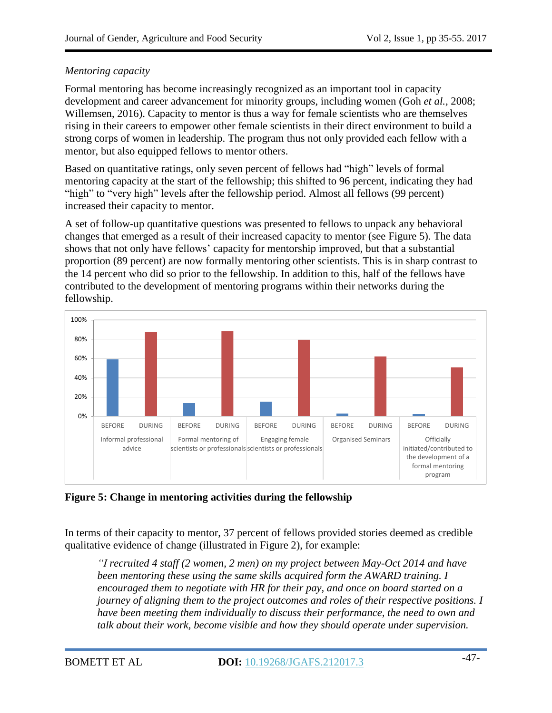# *Mentoring capacity*

Formal mentoring has become increasingly recognized as an important tool in capacity development and career advancement for minority groups, including women (Goh *et al.,* 2008; Willemsen, 2016). Capacity to mentor is thus a way for female scientists who are themselves rising in their careers to empower other female scientists in their direct environment to build a strong corps of women in leadership. The program thus not only provided each fellow with a mentor, but also equipped fellows to mentor others.

Based on quantitative ratings, only seven percent of fellows had "high" levels of formal mentoring capacity at the start of the fellowship; this shifted to 96 percent, indicating they had "high" to "very high" levels after the fellowship period. Almost all fellows (99 percent) increased their capacity to mentor.

A set of follow-up quantitative questions was presented to fellows to unpack any behavioral changes that emerged as a result of their increased capacity to mentor (see Figure 5). The data shows that not only have fellows' capacity for mentorship improved, but that a substantial proportion (89 percent) are now formally mentoring other scientists. This is in sharp contrast to the 14 percent who did so prior to the fellowship. In addition to this, half of the fellows have contributed to the development of mentoring programs within their networks during the fellowship.



**Figure 5: Change in mentoring activities during the fellowship**

In terms of their capacity to mentor, 37 percent of fellows provided stories deemed as credible qualitative evidence of change (illustrated in Figure 2), for example:

*―I recruited 4 staff (2 women, 2 men) on my project between May-Oct 2014 and have been mentoring these using the same skills acquired form the AWARD training. I encouraged them to negotiate with HR for their pay, and once on board started on a journey of aligning them to the project outcomes and roles of their respective positions. I have been meeting them individually to discuss their performance, the need to own and talk about their work, become visible and how they should operate under supervision.*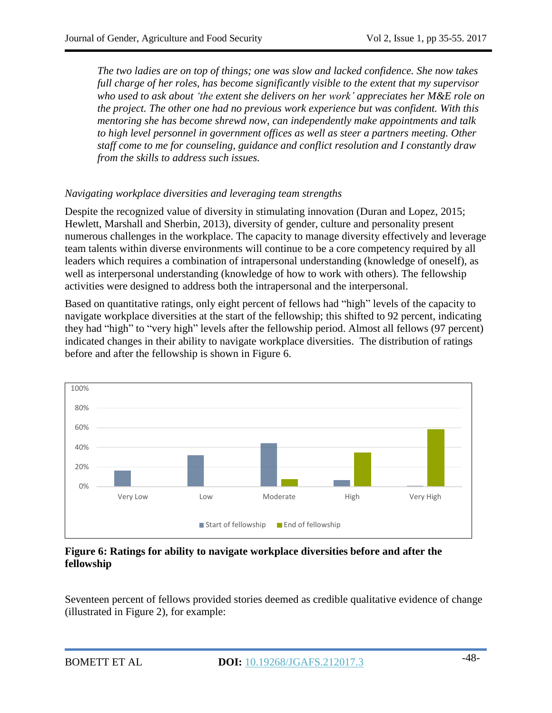*The two ladies are on top of things; one was slow and lacked confidence. She now takes full charge of her roles, has become significantly visible to the extent that my supervisor who used to ask about ‗the extent she delivers on her work' appreciates her M&E role on the project. The other one had no previous work experience but was confident. With this mentoring she has become shrewd now, can independently make appointments and talk to high level personnel in government offices as well as steer a partners meeting. Other staff come to me for counseling, guidance and conflict resolution and I constantly draw from the skills to address such issues.*

# *Navigating workplace diversities and leveraging team strengths*

Despite the recognized value of diversity in stimulating innovation (Duran and Lopez, 2015; Hewlett, Marshall and Sherbin, 2013), diversity of gender, culture and personality present numerous challenges in the workplace. The capacity to manage diversity effectively and leverage team talents within diverse environments will continue to be a core competency required by all leaders which requires a combination of intrapersonal understanding (knowledge of oneself), as well as interpersonal understanding (knowledge of how to work with others). The fellowship activities were designed to address both the intrapersonal and the interpersonal.

Based on quantitative ratings, only eight percent of fellows had "high" levels of the capacity to navigate workplace diversities at the start of the fellowship; this shifted to 92 percent, indicating they had "high" to "very high" levels after the fellowship period. Almost all fellows (97 percent) indicated changes in their ability to navigate workplace diversities. The distribution of ratings before and after the fellowship is shown in Figure 6.



### **Figure 6: Ratings for ability to navigate workplace diversities before and after the fellowship**

Seventeen percent of fellows provided stories deemed as credible qualitative evidence of change (illustrated in Figure 2), for example: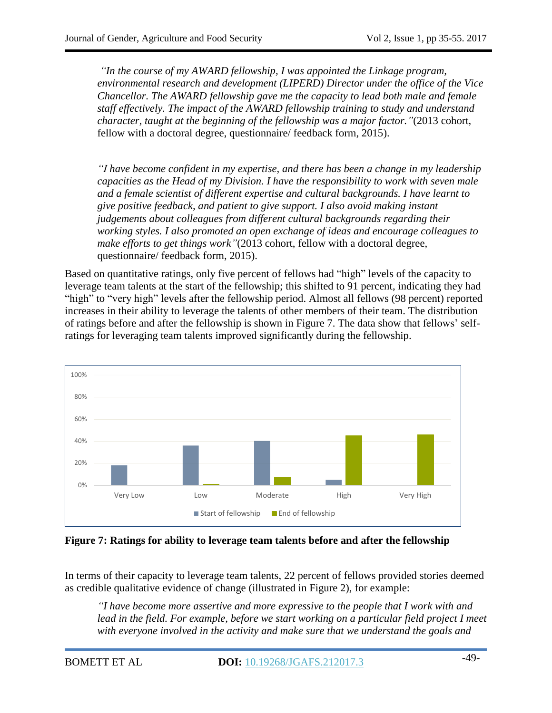*―In the course of my AWARD fellowship, I was appointed the Linkage program, environmental research and development (LIPERD) Director under the office of the Vice Chancellor. The AWARD fellowship gave me the capacity to lead both male and female staff effectively. The impact of the AWARD fellowship training to study and understand character, taught at the beginning of the fellowship was a major factor.‖*(2013 cohort, fellow with a doctoral degree, questionnaire/ feedback form, 2015).

*―I have become confident in my expertise, and there has been a change in my leadership capacities as the Head of my Division. I have the responsibility to work with seven male and a female scientist of different expertise and cultural backgrounds. I have learnt to give positive feedback, and patient to give support. I also avoid making instant judgements about colleagues from different cultural backgrounds regarding their working styles. I also promoted an open exchange of ideas and encourage colleagues to make efforts to get things work‖*(2013 cohort, fellow with a doctoral degree, questionnaire/ feedback form, 2015).

Based on quantitative ratings, only five percent of fellows had "high" levels of the capacity to leverage team talents at the start of the fellowship; this shifted to 91 percent, indicating they had "high" to "very high" levels after the fellowship period. Almost all fellows (98 percent) reported increases in their ability to leverage the talents of other members of their team. The distribution of ratings before and after the fellowship is shown in Figure 7. The data show that fellows' selfratings for leveraging team talents improved significantly during the fellowship.



**Figure 7: Ratings for ability to leverage team talents before and after the fellowship**

In terms of their capacity to leverage team talents, 22 percent of fellows provided stories deemed as credible qualitative evidence of change (illustrated in Figure 2), for example:

*―I have become more assertive and more expressive to the people that I work with and lead in the field. For example, before we start working on a particular field project I meet with everyone involved in the activity and make sure that we understand the goals and*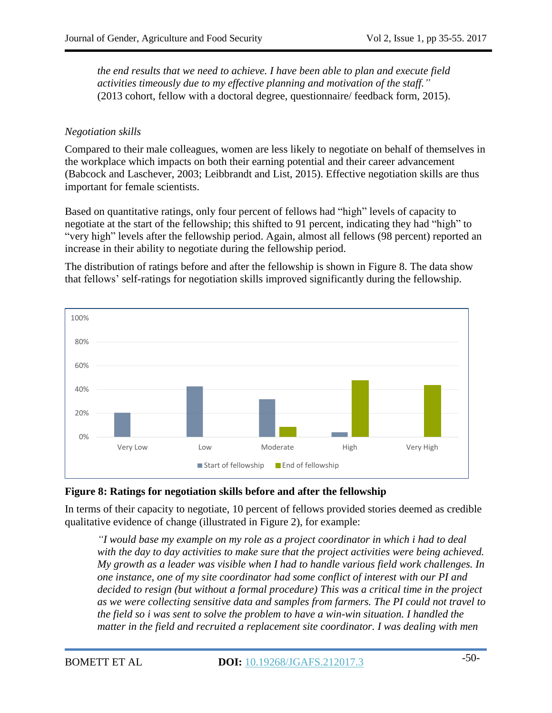*the end results that we need to achieve. I have been able to plan and execute field activities timeously due to my effective planning and motivation of the staff.‖* (2013 cohort, fellow with a doctoral degree, questionnaire/ feedback form, 2015).

### *Negotiation skills*

Compared to their male colleagues, women are less likely to negotiate on behalf of themselves in the workplace which impacts on both their earning potential and their career advancement (Babcock and Laschever, 2003; Leibbrandt and List, 2015). Effective negotiation skills are thus important for female scientists.

Based on quantitative ratings, only four percent of fellows had "high" levels of capacity to negotiate at the start of the fellowship; this shifted to 91 percent, indicating they had "high" to "very high" levels after the fellowship period. Again, almost all fellows (98 percent) reported an increase in their ability to negotiate during the fellowship period.

The distribution of ratings before and after the fellowship is shown in Figure 8. The data show that fellows' self-ratings for negotiation skills improved significantly during the fellowship.



#### **Figure 8: Ratings for negotiation skills before and after the fellowship**

In terms of their capacity to negotiate, 10 percent of fellows provided stories deemed as credible qualitative evidence of change (illustrated in Figure 2), for example:

*―I would base my example on my role as a project coordinator in which i had to deal with the day to day activities to make sure that the project activities were being achieved. My growth as a leader was visible when I had to handle various field work challenges. In one instance, one of my site coordinator had some conflict of interest with our PI and decided to resign (but without a formal procedure) This was a critical time in the project as we were collecting sensitive data and samples from farmers. The PI could not travel to the field so i was sent to solve the problem to have a win-win situation. I handled the matter in the field and recruited a replacement site coordinator. I was dealing with men*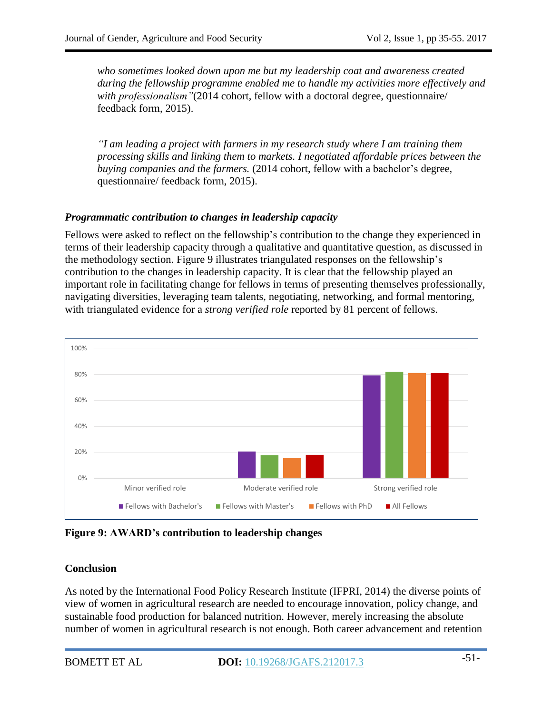*who sometimes looked down upon me but my leadership coat and awareness created during the fellowship programme enabled me to handle my activities more effectively and* with *professionalism*<sup>"</sup>(2014 cohort, fellow with a doctoral degree, questionnaire/ feedback form, 2015).

*―I am leading a project with farmers in my research study where I am training them processing skills and linking them to markets. I negotiated affordable prices between the buying companies and the farmers.* (2014 cohort, fellow with a bachelor's degree, questionnaire/ feedback form, 2015).

### *Programmatic contribution to changes in leadership capacity*

Fellows were asked to reflect on the fellowship's contribution to the change they experienced in terms of their leadership capacity through a qualitative and quantitative question, as discussed in the methodology section. Figure 9 illustrates triangulated responses on the fellowship's contribution to the changes in leadership capacity. It is clear that the fellowship played an important role in facilitating change for fellows in terms of presenting themselves professionally, navigating diversities, leveraging team talents, negotiating, networking, and formal mentoring, with triangulated evidence for a *strong verified role* reported by 81 percent of fellows.



**Figure 9: AWARD's contribution to leadership changes**

#### **Conclusion**

As noted by the International Food Policy Research Institute (IFPRI, 2014) the diverse points of view of women in agricultural research are needed to encourage innovation, policy change, and sustainable food production for balanced nutrition. However, merely increasing the absolute number of women in agricultural research is not enough. Both career advancement and retention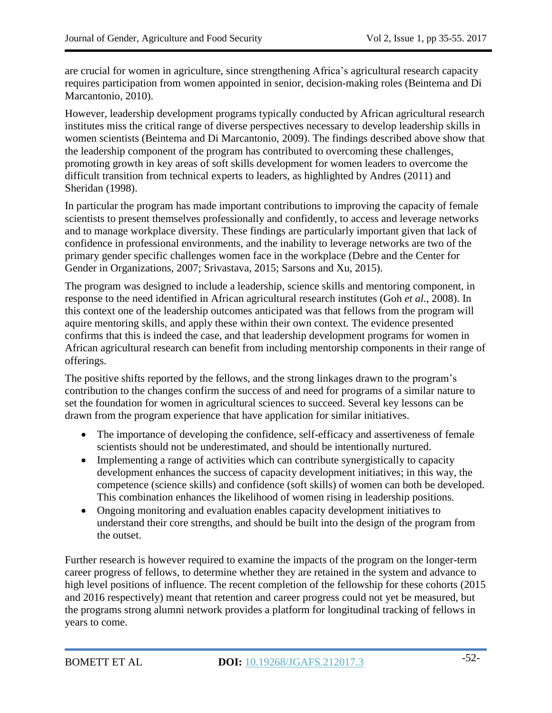are crucial for women in agriculture, since strengthening Africa's agricultural research capacity requires participation from women appointed in senior, decision-making roles (Beintema and Di Marcantonio, 2010).

However, leadership development programs typically conducted by African agricultural research institutes miss the critical range of diverse perspectives necessary to develop leadership skills in women scientists (Beintema and Di Marcantonio, 2009). The findings described above show that the leadership component of the program has contributed to overcoming these challenges, promoting growth in key areas of soft skills development for women leaders to overcome the difficult transition from technical experts to leaders, as highlighted by Andres (2011) and Sheridan (1998).

In particular the program has made important contributions to improving the capacity of female scientists to present themselves professionally and confidently, to access and leverage networks and to manage workplace diversity. These findings are particularly important given that lack of confidence in professional environments, and the inability to leverage networks are two of the primary gender specific challenges women face in the workplace (Debre and the Center for Gender in Organizations, 2007; [Srivastava,](http://tech.mit.edu/author/Sanjana+Srivastava/) 2015; Sarsons and Xu, 2015).

The program was designed to include a leadership, science skills and mentoring component, in response to the need identified in African agricultural research institutes (Goh *et al.,* 2008). In this context one of the leadership outcomes anticipated was that fellows from the program will aquire mentoring skills, and apply these within their own context. The evidence presented confirms that this is indeed the case, and that leadership development programs for women in African agricultural research can benefit from including mentorship components in their range of offerings.

The positive shifts reported by the fellows, and the strong linkages drawn to the program's contribution to the changes confirm the success of and need for programs of a similar nature to set the foundation for women in agricultural sciences to succeed. Several key lessons can be drawn from the program experience that have application for similar initiatives.

- The importance of developing the confidence, self-efficacy and assertiveness of female scientists should not be underestimated, and should be intentionally nurtured.
- Implementing a range of activities which can contribute synergistically to capacity development enhances the success of capacity development initiatives; in this way, the competence (science skills) and confidence (soft skills) of women can both be developed. This combination enhances the likelihood of women rising in leadership positions.
- Ongoing monitoring and evaluation enables capacity development initiatives to understand their core strengths, and should be built into the design of the program from the outset.

Further research is however required to examine the impacts of the program on the longer-term career progress of fellows, to determine whether they are retained in the system and advance to high level positions of influence. The recent completion of the fellowship for these cohorts (2015 and 2016 respectively) meant that retention and career progress could not yet be measured, but the programs strong alumni network provides a platform for longitudinal tracking of fellows in years to come.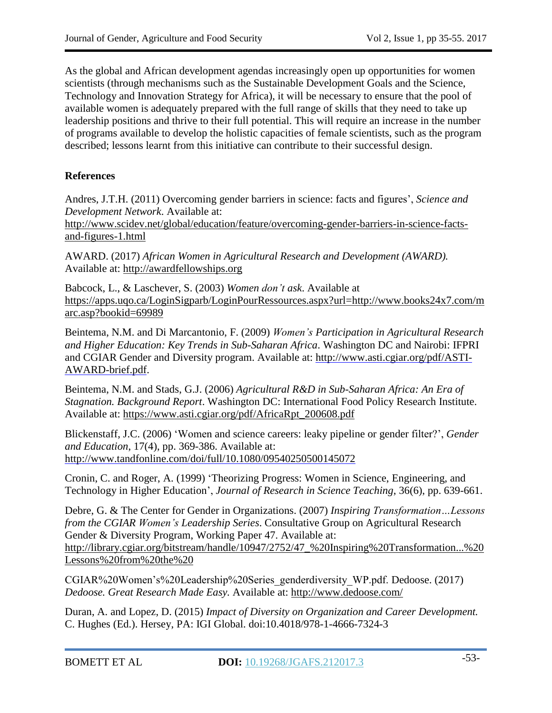As the global and African development agendas increasingly open up opportunities for women scientists (through mechanisms such as the Sustainable Development Goals and the Science, Technology and Innovation Strategy for Africa), it will be necessary to ensure that the pool of available women is adequately prepared with the full range of skills that they need to take up leadership positions and thrive to their full potential. This will require an increase in the number of programs available to develop the holistic capacities of female scientists, such as the program described; lessons learnt from this initiative can contribute to their successful design.

### **References**

Andres, J.T.H. (2011) Overcoming gender barriers in science: facts and figures', *Science and Development Network*. Available at:

[http://www.scidev.net/global/education/feature/overcoming-gender-barriers-in-science-facts](http://www.scidev.net/global/education/feature/overcoming-gender-barriers-in-science-facts-and-figures-1.html)[and-figures-1.html](http://www.scidev.net/global/education/feature/overcoming-gender-barriers-in-science-facts-and-figures-1.html)

AWARD. (2017) *African Women in Agricultural Research and Development (AWARD).* Available at: [http://awardfellowships.org](http://awardfellowships.org/)

Babcock, L., & Laschever, S. (2003) *Women don't ask*. Available at [https://apps.uqo.ca/LoginSigparb/LoginPourRessources.aspx?url=http://www.books24x7.com/m](https://apps.uqo.ca/LoginSigparb/LoginPourRessources.aspx?url=http://www.books24x7.com/marc.asp?bookid=69989) [arc.asp?bookid=69989](https://apps.uqo.ca/LoginSigparb/LoginPourRessources.aspx?url=http://www.books24x7.com/marc.asp?bookid=69989)

Beintema, N.M. and Di Marcantonio, F. (2009) *Women's Participation in Agricultural Research and Higher Education: Key Trends in Sub-Saharan Africa*. Washington DC and Nairobi: IFPRI and CGIAR Gender and Diversity program. Available at: [http://www.asti.cgiar.org/pdf/ASTI-](http://www.asti.cgiar.org/pdf/ASTI-AWARD-brief.pdf)[AWARD-brief.pdf.](http://www.asti.cgiar.org/pdf/ASTI-AWARD-brief.pdf)

Beintema, N.M. and Stads, G.J. (2006) *Agricultural R&D in Sub-Saharan Africa: An Era of Stagnation. Background Report*. Washington DC: International Food Policy Research Institute. Available at: [https://www.asti.cgiar.org/pdf/AfricaRpt\\_200608.pdf](https://www.asti.cgiar.org/pdf/AfricaRpt_200608.pdf)

Blickenstaff, J.C. (2006) ‗Women and science careers: leaky pipeline or gender filter?', *Gender and Education*, 17(4), pp. 369-386. Available at: <http://www.tandfonline.com/doi/full/10.1080/09540250500145072>

Cronin, C. and Roger, A. (1999) 'Theorizing Progress: Women in Science, Engineering, and Technology in Higher Education', *Journal of Research in Science Teaching*, 36(6), pp. 639-661.

Debre, G. & The Center for Gender in Organizations. (2007) *Inspiring Transformation…Lessons from the CGIAR Women's Leadership Series*. Consultative Group on Agricultural Research Gender & Diversity Program, Working Paper 47. Available at: http://library.cgiar.org/bitstream/handle/10947/2752/47\_%20Inspiring%20Transformation...%20 Lessons%20from%20the%20

CGIAR%20Women's%20Leadership%20Series\_genderdiversity\_WP.pdf. Dedoose. (2017) *Dedoose. Great Research Made Easy.* Available at: <http://www.dedoose.com/>

Duran, A. and Lopez, D. (2015) *Impact of Diversity on Organization and Career Development.* C. Hughes (Ed.). Hersey, PA: IGI Global. doi:10.4018/978-1-4666-7324-3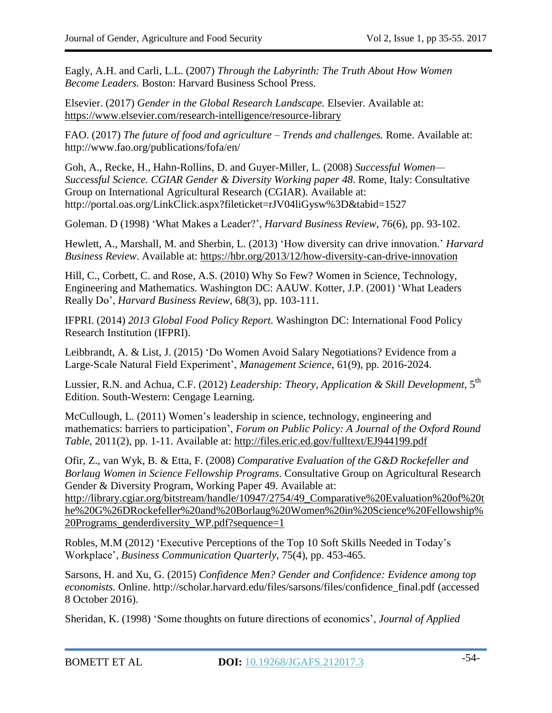Eagly, A.H. and Carli, L.L. (2007) *Through the Labyrinth: The Truth About How Women Become Leaders.* Boston: Harvard Business School Press.

Elsevier. (2017) *Gender in the Global Research Landscape.* Elsevier. Available at: <https://www.elsevier.com/research-intelligence/resource-library>

FAO. (2017) *The future of food and agriculture – Trends and challenges.* Rome. Available at: http://www.fao.org/publications/fofa/en/

Goh, A., Recke, H., Hahn-Rollins, D. and Guyer-Miller, L. (2008) *Successful Women— Successful Science. CGIAR Gender & Diversity Working paper 48*. Rome, Italy: Consultative Group on International Agricultural Research (CGIAR). Available at: http://portal.oas.org/LinkClick.aspx?fileticket=rJV04liGysw%3D&tabid=1527

Goleman. D (1998) ‗What Makes a Leader?', *Harvard Business Review*, 76(6), pp. 93-102.

Hewlett, A., Marshall, M. and Sherbin, L. (2013) ‗How diversity can drive innovation.' *Harvard Business Review*. Available at: <https://hbr.org/2013/12/how-diversity-can-drive-innovation>

Hill, C., Corbett, C. and Rose, A.S. (2010) Why So Few? Women in Science, Technology, Engineering and Mathematics. Washington DC: AAUW. Kotter, J.P. (2001) 'What Leaders Really Do', *Harvard Business Review*, 68(3), pp. 103-111.

IFPRI. (2014) *2013 Global Food Policy Report*. Washington DC: International Food Policy Research Institution (IFPRI).

Leibbrandt, A. & List, J. (2015) 'Do Women Avoid Salary Negotiations? Evidence from a Large-Scale Natural Field Experiment', *Management Science*, 61(9), pp. 2016-2024.

Lussier, R.N. and Achua, C.F. (2012) *Leadership: Theory, Application & Skill Development*, 5 th Edition. South-Western: Cengage Learning.

McCullough, L. (2011) Women's leadership in science, technology, engineering and mathematics: barriers to participation', *Forum on Public Policy: A Journal of the Oxford Round Table*, 2011(2), pp. 1-11. Available at: <http://files.eric.ed.gov/fulltext/EJ944199.pdf>

Ofir, Z., van Wyk, B. & Etta, F. (2008) *Comparative Evaluation of the G&D Rockefeller and Borlaug Women in Science Fellowship Programs*. Consultative Group on Agricultural Research Gender & Diversity Program, Working Paper 49. Available at: [http://library.cgiar.org/b](http://library.cgiar.org/)itstream/handle/10947/2754/49\_Comparative%20Evaluation%20of%20t he%20G%26DRockefeller%20and%20Borlaug%20Women%20in%20Science%20Fellowship% 20Programs\_genderdiversity\_WP.pdf?sequence=1

Robles, M.M (2012) 'Executive Perceptions of the Top 10 Soft Skills Needed in Today's Workplace', *Business Communication Quarterly*, 75(4), pp. 453-465.

Sarsons, H. and Xu, G. (2015) *Confidence Men? Gender and Confidence: Evidence among top economists.* Online. http://scholar.harvard.edu/files/sarsons/files/confidence\_final.pdf (accessed 8 October 2016).

Sheridan, K. (1998) 'Some thoughts on future directions of economics', *Journal of Applied*